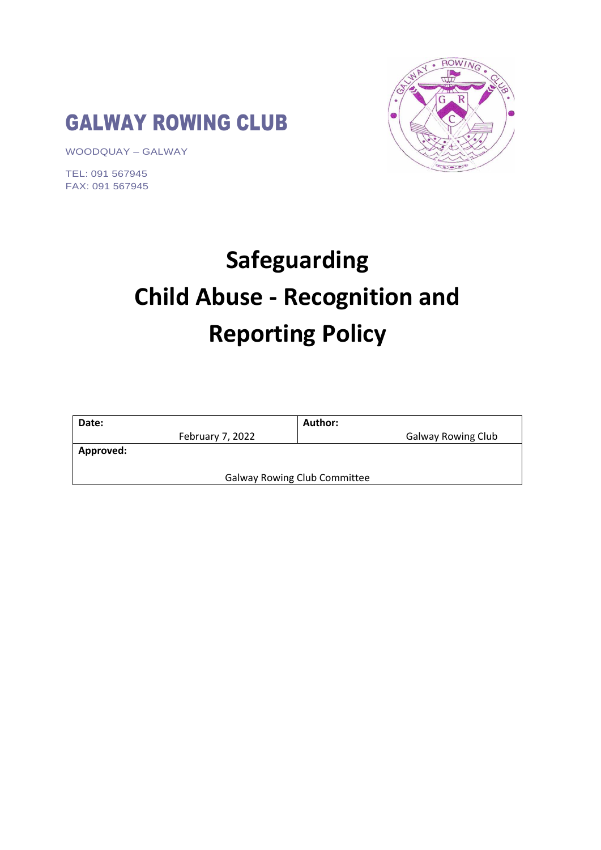# GALWAY ROWING CLUB

WOODQUAY – GALWAY

TEL: 091 567945 FAX: 091 567945



# **Safeguarding Child Abuse - Recognition and Reporting Policy**

| Date:     |                  | Author:                             |                           |
|-----------|------------------|-------------------------------------|---------------------------|
|           | February 7, 2022 |                                     | <b>Galway Rowing Club</b> |
| Approved: |                  |                                     |                           |
|           |                  |                                     |                           |
|           |                  | <b>Galway Rowing Club Committee</b> |                           |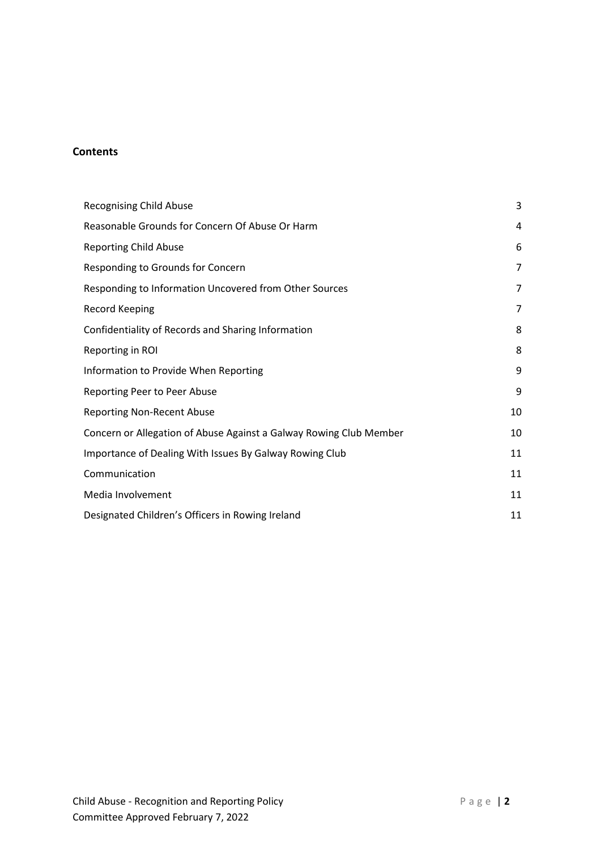# **Contents**

| <b>Recognising Child Abuse</b>                                     | 3  |
|--------------------------------------------------------------------|----|
| Reasonable Grounds for Concern Of Abuse Or Harm                    | 4  |
| <b>Reporting Child Abuse</b>                                       | 6  |
| Responding to Grounds for Concern                                  | 7  |
| Responding to Information Uncovered from Other Sources             | 7  |
| <b>Record Keeping</b>                                              | 7  |
| Confidentiality of Records and Sharing Information                 | 8  |
| Reporting in ROI                                                   | 8  |
| Information to Provide When Reporting                              | 9  |
| Reporting Peer to Peer Abuse                                       | 9  |
| <b>Reporting Non-Recent Abuse</b>                                  | 10 |
| Concern or Allegation of Abuse Against a Galway Rowing Club Member | 10 |
| Importance of Dealing With Issues By Galway Rowing Club            | 11 |
| Communication                                                      | 11 |
| Media Involvement                                                  | 11 |
| Designated Children's Officers in Rowing Ireland                   | 11 |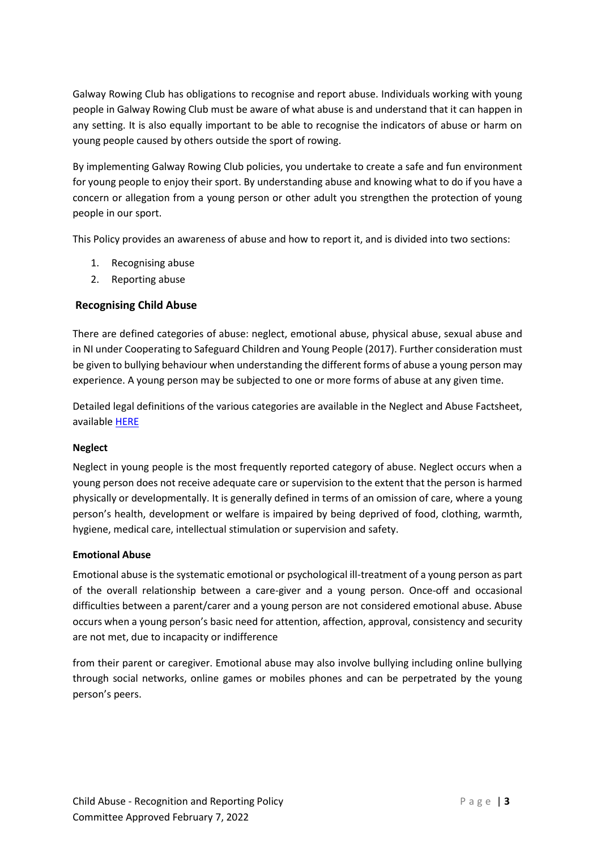Galway Rowing Club has obligations to recognise and report abuse. Individuals working with young people in Galway Rowing Club must be aware of what abuse is and understand that it can happen in any setting. It is also equally important to be able to recognise the indicators of abuse or harm on young people caused by others outside the sport of rowing.

By implementing Galway Rowing Club policies, you undertake to create a safe and fun environment for young people to enjoy their sport. By understanding abuse and knowing what to do if you have a concern or allegation from a young person or other adult you strengthen the protection of young people in our sport.

This Policy provides an awareness of abuse and how to report it, and is divided into two sections:

- 1. Recognising abuse
- 2. Reporting abuse

# <span id="page-2-0"></span>**Recognising Child Abuse**

There are defined categories of abuse: neglect, emotional abuse, physical abuse, sexual abuse and in NI under Cooperating to Safeguard Children and Young People (2017). Further consideration must be given to bullying behaviour when understanding the different forms of abuse a young person may experience. A young person may be subjected to one or more forms of abuse at any given time.

Detailed legal definitions of the various categories are available in the Neglect and Abuse Factsheet, available [HERE](https://rowingireland.flywheelsites.com/wp-content/uploads/2020/11/RI-SFGF4-Neglect-and-abuse-factsheet-formal-definitions.pdf)

### **Neglect**

Neglect in young people is the most frequently reported category of abuse. Neglect occurs when a young person does not receive adequate care or supervision to the extent that the person is harmed physically or developmentally. It is generally defined in terms of an omission of care, where a young person's health, development or welfare is impaired by being deprived of food, clothing, warmth, hygiene, medical care, intellectual stimulation or supervision and safety.

### **Emotional Abuse**

Emotional abuse is the systematic emotional or psychological ill-treatment of a young person as part of the overall relationship between a care-giver and a young person. Once-off and occasional difficulties between a parent/carer and a young person are not considered emotional abuse. Abuse occurs when a young person's basic need for attention, affection, approval, consistency and security are not met, due to incapacity or indifference

from their parent or caregiver. Emotional abuse may also involve bullying including online bullying through social networks, online games or mobiles phones and can be perpetrated by the young person's peers.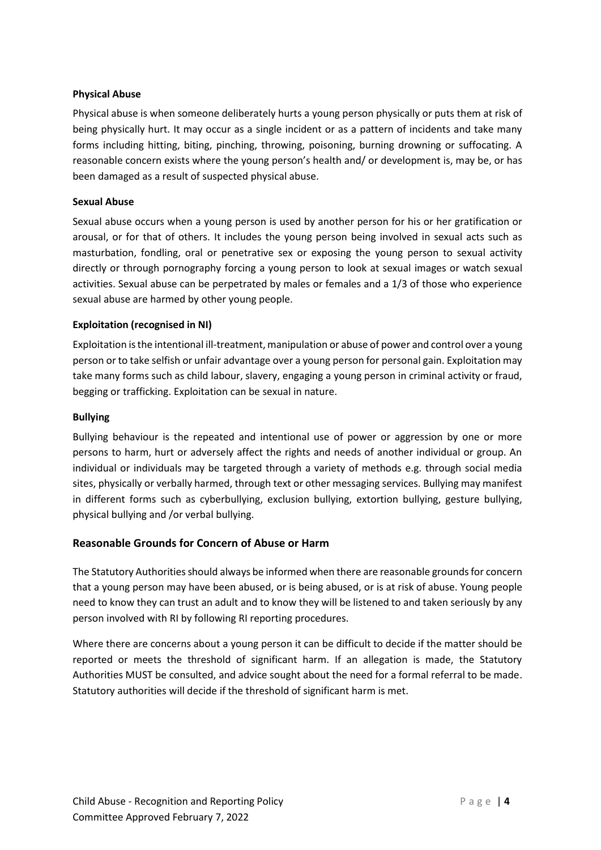#### **Physical Abuse**

Physical abuse is when someone deliberately hurts a young person physically or puts them at risk of being physically hurt. It may occur as a single incident or as a pattern of incidents and take many forms including hitting, biting, pinching, throwing, poisoning, burning drowning or suffocating. A reasonable concern exists where the young person's health and/ or development is, may be, or has been damaged as a result of suspected physical abuse.

#### **Sexual Abuse**

Sexual abuse occurs when a young person is used by another person for his or her gratification or arousal, or for that of others. It includes the young person being involved in sexual acts such as masturbation, fondling, oral or penetrative sex or exposing the young person to sexual activity directly or through pornography forcing a young person to look at sexual images or watch sexual activities. Sexual abuse can be perpetrated by males or females and a 1/3 of those who experience sexual abuse are harmed by other young people.

#### **Exploitation (recognised in NI)**

Exploitation is the intentional ill-treatment, manipulation or abuse of power and control over a young person or to take selfish or unfair advantage over a young person for personal gain. Exploitation may take many forms such as child labour, slavery, engaging a young person in criminal activity or fraud, begging or trafficking. Exploitation can be sexual in nature.

#### **Bullying**

Bullying behaviour is the repeated and intentional use of power or aggression by one or more persons to harm, hurt or adversely affect the rights and needs of another individual or group. An individual or individuals may be targeted through a variety of methods e.g. through social media sites, physically or verbally harmed, through text or other messaging services. Bullying may manifest in different forms such as cyberbullying, exclusion bullying, extortion bullying, gesture bullying, physical bullying and /or verbal bullying.

### <span id="page-3-0"></span>**Reasonable Grounds for Concern of Abuse or Harm**

The Statutory Authorities should always be informed when there are reasonable groundsfor concern that a young person may have been abused, or is being abused, or is at risk of abuse. Young people need to know they can trust an adult and to know they will be listened to and taken seriously by any person involved with RI by following RI reporting procedures.

Where there are concerns about a young person it can be difficult to decide if the matter should be reported or meets the threshold of significant harm. If an allegation is made, the Statutory Authorities MUST be consulted, and advice sought about the need for a formal referral to be made. Statutory authorities will decide if the threshold of significant harm is met.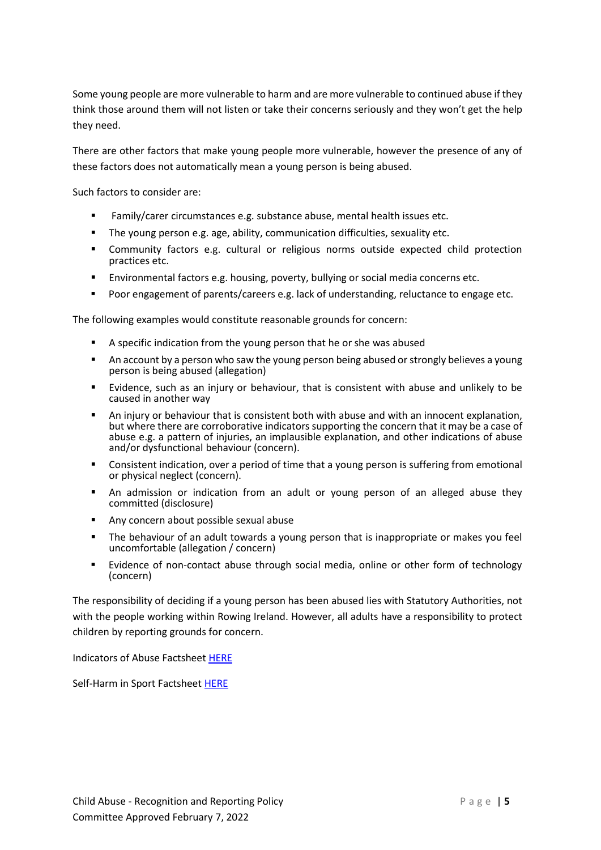Some young people are more vulnerable to harm and are more vulnerable to continued abuse if they think those around them will not listen or take their concerns seriously and they won't get the help they need.

There are other factors that make young people more vulnerable, however the presence of any of these factors does not automatically mean a young person is being abused.

Such factors to consider are:

- Family/carer circumstances e.g. substance abuse, mental health issues etc.
- The young person e.g. age, ability, communication difficulties, sexuality etc.
- Community factors e.g. cultural or religious norms outside expected child protection practices etc.
- Environmental factors e.g. housing, poverty, bullying or social media concerns etc.
- Poor engagement of parents/careers e.g. lack of understanding, reluctance to engage etc.

The following examples would constitute reasonable grounds for concern:

- A specific indication from the young person that he or she was abused
- An account by a person who saw the young person being abused or strongly believes a young person is being abused (allegation)
- Evidence, such as an injury or behaviour, that is consistent with abuse and unlikely to be caused in another way
- An injury or behaviour that is consistent both with abuse and with an innocent explanation, but where there are corroborative indicators supporting the concern that it may be a case of abuse e.g. a pattern of injuries, an implausible explanation, and other indications of abuse and/or dysfunctional behaviour (concern).
- Consistent indication, over a period of time that a young person is suffering from emotional or physical neglect (concern).
- An admission or indication from an adult or young person of an alleged abuse they committed (disclosure)
- Any concern about possible sexual abuse
- The behaviour of an adult towards a young person that is inappropriate or makes you feel uncomfortable (allegation / concern)
- Evidence of non-contact abuse through social media, online or other form of technology (concern)

The responsibility of deciding if a young person has been abused lies with Statutory Authorities, not with the people working within Rowing Ireland. However, all adults have a responsibility to protect children by reporting grounds for concern.

Indicators of Abuse Factshee[t HERE](https://rowingireland.flywheelsites.com/wp-content/uploads/2020/11/RI-SFGF5-Indicators-of-Abuse-factsheet.pdf)

Self-Harm in Sport Factsheet [HERE](https://rowingireland.flywheelsites.com/wp-content/uploads/2020/11/RI-SFGF6-Self-harm-in-sport-factsheet.pdf)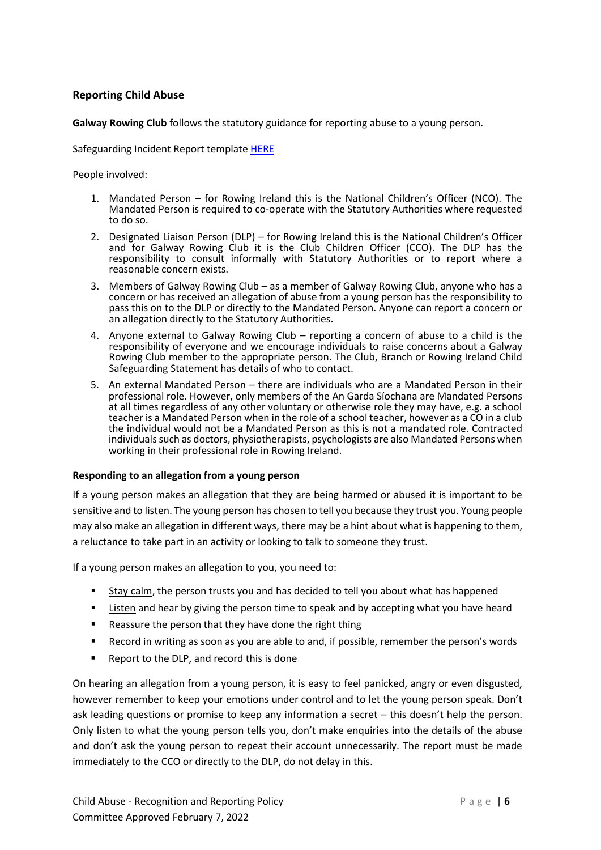### <span id="page-5-0"></span>**Reporting Child Abuse**

**Galway Rowing Club** follows the statutory guidance for reporting abuse to a young person.

Safeguarding Incident Report template [HERE](https://rowingireland.flywheelsites.com/wp-content/uploads/2020/11/RI-SFGT5-Incident-Report-Form-template.pdf)

People involved:

- 1. Mandated Person for Rowing Ireland this is the National Children's Officer (NCO). The Mandated Person is required to co-operate with the Statutory Authorities where requested to do so.
- 2. Designated Liaison Person (DLP) for Rowing Ireland this is the National Children's Officer and for Galway Rowing Club it is the Club Children Officer (CCO). The DLP has the responsibility to consult informally with Statutory Authorities or to report where a reasonable concern exists.
- 3. Members of Galway Rowing Club as a member of Galway Rowing Club, anyone who has a concern or has received an allegation of abuse from a young person has the responsibility to pass this on to the DLP or directly to the Mandated Person. Anyone can report a concern or an allegation directly to the Statutory Authorities.
- 4. Anyone external to Galway Rowing Club reporting a concern of abuse to a child is the responsibility of everyone and we encourage individuals to raise concerns about a Galway Rowing Club member to the appropriate person. The Club, Branch or Rowing Ireland Child Safeguarding Statement has details of who to contact.
- 5. An external Mandated Person there are individuals who are a Mandated Person in their professional role. However, only members of the An Garda Síochana are Mandated Persons at all times regardless of any other voluntary or otherwise role they may have, e.g. a school teacher is a Mandated Person when in the role of a school teacher, however as a CO in a club the individual would not be a Mandated Person as this is not a mandated role. Contracted individuals such as doctors, physiotherapists, psychologists are also Mandated Persons when working in their professional role in Rowing Ireland.

#### **Responding to an allegation from a young person**

If a young person makes an allegation that they are being harmed or abused it is important to be sensitive and to listen. The young person has chosen to tell you because they trust you. Young people may also make an allegation in different ways, there may be a hint about what is happening to them, a reluctance to take part in an activity or looking to talk to someone they trust.

If a young person makes an allegation to you, you need to:

- Stay calm, the person trusts you and has decided to tell you about what has happened
- Listen and hear by giving the person time to speak and by accepting what you have heard
- Reassure the person that they have done the right thing
- **EXECORD** In writing as soon as you are able to and, if possible, remember the person's words
- Report to the DLP, and record this is done

On hearing an allegation from a young person, it is easy to feel panicked, angry or even disgusted, however remember to keep your emotions under control and to let the young person speak. Don't ask leading questions or promise to keep any information a secret – this doesn't help the person. Only listen to what the young person tells you, don't make enquiries into the details of the abuse and don't ask the young person to repeat their account unnecessarily. The report must be made immediately to the CCO or directly to the DLP, do not delay in this.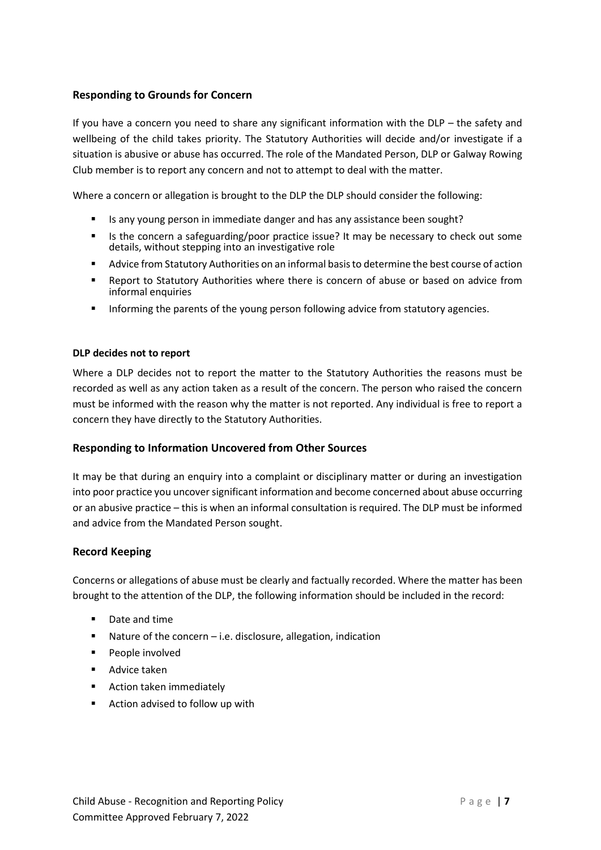## <span id="page-6-0"></span>**Responding to Grounds for Concern**

If you have a concern you need to share any significant information with the DLP – the safety and wellbeing of the child takes priority. The Statutory Authorities will decide and/or investigate if a situation is abusive or abuse has occurred. The role of the Mandated Person, DLP or Galway Rowing Club member is to report any concern and not to attempt to deal with the matter.

Where a concern or allegation is brought to the DLP the DLP should consider the following:

- Is any young person in immediate danger and has any assistance been sought?
- **■** Is the concern a safeguarding/poor practice issue? It may be necessary to check out some details, without stepping into an investigative role
- Advice from Statutory Authorities on an informal basis to determine the best course of action
- Report to Statutory Authorities where there is concern of abuse or based on advice from informal enquiries
- **■** Informing the parents of the young person following advice from statutory agencies.

#### **DLP decides not to report**

Where a DLP decides not to report the matter to the Statutory Authorities the reasons must be recorded as well as any action taken as a result of the concern. The person who raised the concern must be informed with the reason why the matter is not reported. Any individual is free to report a concern they have directly to the Statutory Authorities.

### <span id="page-6-1"></span>**Responding to Information Uncovered from Other Sources**

It may be that during an enquiry into a complaint or disciplinary matter or during an investigation into poor practice you uncover significant information and become concerned about abuse occurring or an abusive practice – this is when an informal consultation is required. The DLP must be informed and advice from the Mandated Person sought.

### <span id="page-6-2"></span>**Record Keeping**

Concerns or allegations of abuse must be clearly and factually recorded. Where the matter has been brought to the attention of the DLP, the following information should be included in the record:

- Date and time
- Nature of the concern i.e. disclosure, allegation, indication
- People involved
- Advice taken
- Action taken immediately
- Action advised to follow up with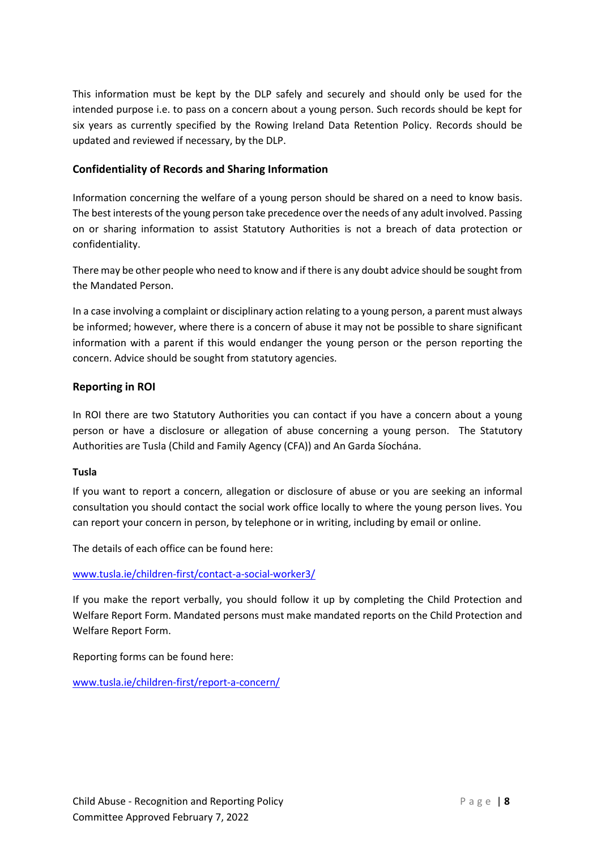This information must be kept by the DLP safely and securely and should only be used for the intended purpose i.e. to pass on a concern about a young person. Such records should be kept for six years as currently specified by the Rowing Ireland Data Retention Policy. Records should be updated and reviewed if necessary, by the DLP.

# <span id="page-7-0"></span>**Confidentiality of Records and Sharing Information**

Information concerning the welfare of a young person should be shared on a need to know basis. The best interests of the young person take precedence over the needs of any adult involved. Passing on or sharing information to assist Statutory Authorities is not a breach of data protection or confidentiality.

There may be other people who need to know and if there is any doubt advice should be sought from the Mandated Person.

In a case involving a complaint or disciplinary action relating to a young person, a parent must always be informed; however, where there is a concern of abuse it may not be possible to share significant information with a parent if this would endanger the young person or the person reporting the concern. Advice should be sought from statutory agencies.

### <span id="page-7-1"></span>**Reporting in ROI**

In ROI there are two Statutory Authorities you can contact if you have a concern about a young person or have a disclosure or allegation of abuse concerning a young person. The Statutory Authorities are Tusla (Child and Family Agency (CFA)) and An Garda Síochána.

### **Tusla**

If you want to report a concern, allegation or disclosure of abuse or you are seeking an informal consultation you should contact the social work office locally to where the young person lives. You can report your concern in person, by telephone or in writing, including by email or online.

The details of each office can be found here:

[www.tusla.ie/children-first/contact-a-social-worker3/](http://www.tusla.ie/children-first/contact-a-social-worker3/)

If you make the report verbally, you should follow it up by completing the Child Protection and Welfare Report Form. Mandated persons must make mandated reports on the Child Protection and Welfare Report Form.

Reporting forms can be found here:

[www.tusla.ie/children-first/report-a-concern/](http://www.tusla.ie/children-first/report-a-concern/)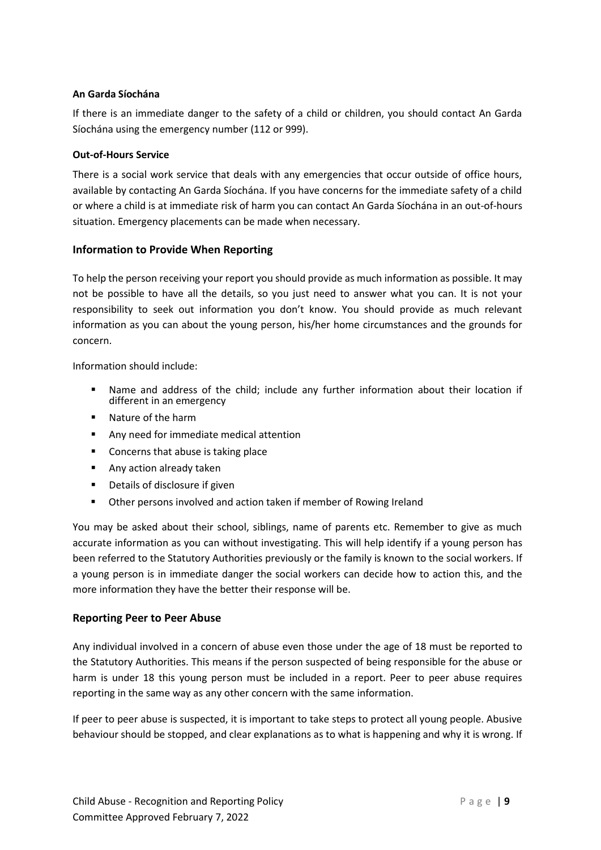#### **An Garda Síochána**

If there is an immediate danger to the safety of a child or children, you should contact An Garda Síochána using the emergency number (112 or 999).

#### **Out-of-Hours Service**

There is a social work service that deals with any emergencies that occur outside of office hours, available by contacting An Garda Síochána. If you have concerns for the immediate safety of a child or where a child is at immediate risk of harm you can contact An Garda Síochána in an out-of-hours situation. Emergency placements can be made when necessary.

### <span id="page-8-0"></span>**Information to Provide When Reporting**

To help the person receiving your report you should provide as much information as possible. It may not be possible to have all the details, so you just need to answer what you can. It is not your responsibility to seek out information you don't know. You should provide as much relevant information as you can about the young person, his/her home circumstances and the grounds for concern.

Information should include:

- Name and address of the child; include any further information about their location if different in an emergency
- Nature of the harm
- Any need for immediate medical attention
- Concerns that abuse is taking place
- Any action already taken
- Details of disclosure if given
- Other persons involved and action taken if member of Rowing Ireland

You may be asked about their school, siblings, name of parents etc. Remember to give as much accurate information as you can without investigating. This will help identify if a young person has been referred to the Statutory Authorities previously or the family is known to the social workers. If a young person is in immediate danger the social workers can decide how to action this, and the more information they have the better their response will be.

### <span id="page-8-1"></span>**Reporting Peer to Peer Abuse**

Any individual involved in a concern of abuse even those under the age of 18 must be reported to the Statutory Authorities. This means if the person suspected of being responsible for the abuse or harm is under 18 this young person must be included in a report. Peer to peer abuse requires reporting in the same way as any other concern with the same information.

If peer to peer abuse is suspected, it is important to take steps to protect all young people. Abusive behaviour should be stopped, and clear explanations as to what is happening and why it is wrong. If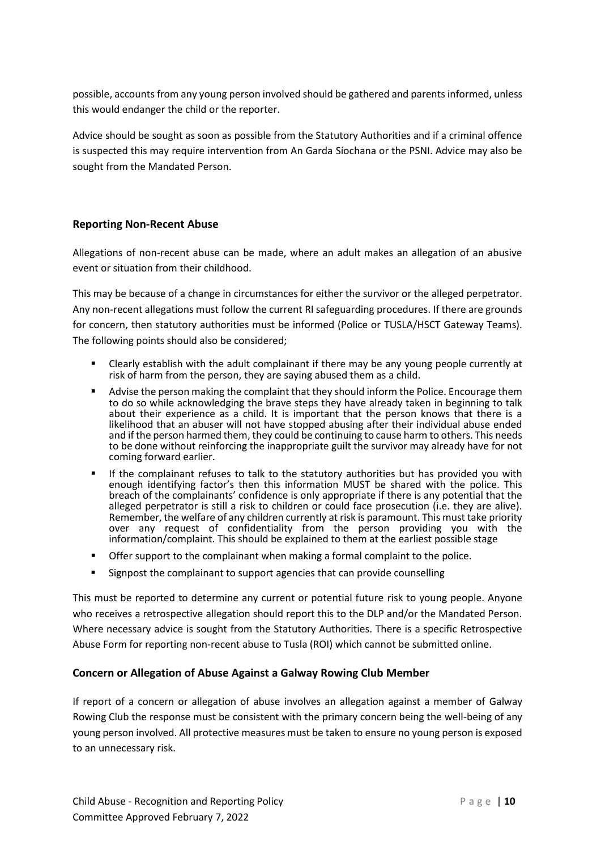possible, accounts from any young person involved should be gathered and parents informed, unless this would endanger the child or the reporter.

Advice should be sought as soon as possible from the Statutory Authorities and if a criminal offence is suspected this may require intervention from An Garda Síochana or the PSNI. Advice may also be sought from the Mandated Person.

# <span id="page-9-0"></span>**Reporting Non-Recent Abuse**

Allegations of non-recent abuse can be made, where an adult makes an allegation of an abusive event or situation from their childhood.

This may be because of a change in circumstances for either the survivor or the alleged perpetrator. Any non-recent allegations must follow the current RI safeguarding procedures. If there are grounds for concern, then statutory authorities must be informed (Police or TUSLA/HSCT Gateway Teams). The following points should also be considered;

- Clearly establish with the adult complainant if there may be any young people currently at risk of harm from the person, they are saying abused them as a child.
- Advise the person making the complaint that they should inform the Police. Encourage them to do so while acknowledging the brave steps they have already taken in beginning to talk about their experience as a child. It is important that the person knows that there is a likelihood that an abuser will not have stopped abusing after their individual abuse ended and if the person harmed them, they could be continuing to cause harm to others. This needs to be done without reinforcing the inappropriate guilt the survivor may already have for not coming forward earlier.
- If the complainant refuses to talk to the statutory authorities but has provided you with enough identifying factor's then this information MUST be shared with the police. This breach of the complainants' confidence is only appropriate if there is any potential that the alleged perpetrator is still a risk to children or could face prosecution (i.e. they are alive). Remember, the welfare of any children currently at risk is paramount. This must take priority over any request of confidentiality from the person providing you with the information/complaint. This should be explained to them at the earliest possible stage
- Offer support to the complainant when making a formal complaint to the police.
- Signpost the complainant to support agencies that can provide counselling

This must be reported to determine any current or potential future risk to young people. Anyone who receives a retrospective allegation should report this to the DLP and/or the Mandated Person. Where necessary advice is sought from the Statutory Authorities. There is a specific Retrospective Abuse Form for reporting non-recent abuse to Tusla (ROI) which cannot be submitted online.

### <span id="page-9-1"></span>**Concern or Allegation of Abuse Against a Galway Rowing Club Member**

If report of a concern or allegation of abuse involves an allegation against a member of Galway Rowing Club the response must be consistent with the primary concern being the well-being of any young person involved. All protective measures must be taken to ensure no young person is exposed to an unnecessary risk.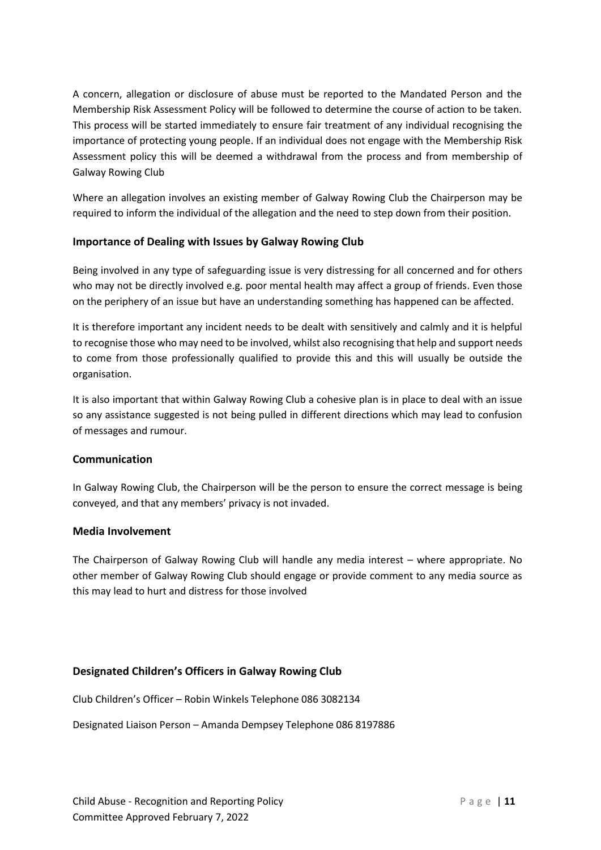A concern, allegation or disclosure of abuse must be reported to the Mandated Person and the Membership Risk Assessment Policy will be followed to determine the course of action to be taken. This process will be started immediately to ensure fair treatment of any individual recognising the importance of protecting young people. If an individual does not engage with the Membership Risk Assessment policy this will be deemed a withdrawal from the process and from membership of Galway Rowing Club

Where an allegation involves an existing member of Galway Rowing Club the Chairperson may be required to inform the individual of the allegation and the need to step down from their position.

# <span id="page-10-0"></span>**Importance of Dealing with Issues by Galway Rowing Club**

Being involved in any type of safeguarding issue is very distressing for all concerned and for others who may not be directly involved e.g. poor mental health may affect a group of friends. Even those on the periphery of an issue but have an understanding something has happened can be affected.

It is therefore important any incident needs to be dealt with sensitively and calmly and it is helpful to recognise those who may need to be involved, whilst also recognising that help and support needs to come from those professionally qualified to provide this and this will usually be outside the organisation.

It is also important that within Galway Rowing Club a cohesive plan is in place to deal with an issue so any assistance suggested is not being pulled in different directions which may lead to confusion of messages and rumour.

### <span id="page-10-1"></span>**Communication**

In Galway Rowing Club, the Chairperson will be the person to ensure the correct message is being conveyed, and that any members' privacy is not invaded.

## <span id="page-10-2"></span>**Media Involvement**

The Chairperson of Galway Rowing Club will handle any media interest – where appropriate. No other member of Galway Rowing Club should engage or provide comment to any media source as this may lead to hurt and distress for those involved

### <span id="page-10-3"></span>**Designated Children's Officers in Galway Rowing Club**

Club Children's Officer – Robin Winkels Telephone 086 3082134

Designated Liaison Person – Amanda Dempsey Telephone 086 8197886